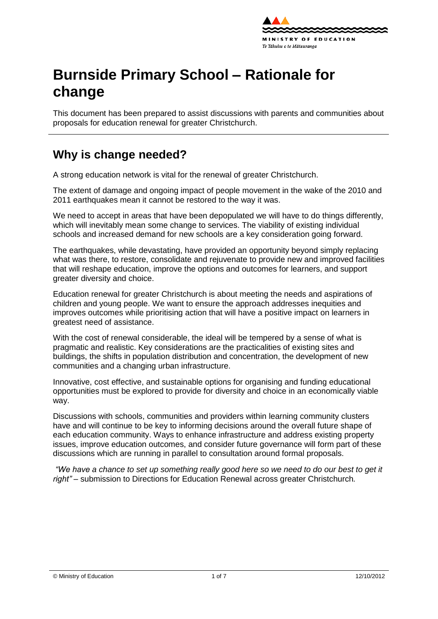

# **Burnside Primary School – Rationale for change**

This document has been prepared to assist discussions with parents and communities about proposals for education renewal for greater Christchurch.

# **Why is change needed?**

A strong education network is vital for the renewal of greater Christchurch.

The extent of damage and ongoing impact of people movement in the wake of the 2010 and 2011 earthquakes mean it cannot be restored to the way it was.

We need to accept in areas that have been depopulated we will have to do things differently, which will inevitably mean some change to services. The viability of existing individual schools and increased demand for new schools are a key consideration going forward.

The earthquakes, while devastating, have provided an opportunity beyond simply replacing what was there, to [restore,](http://shapingeducation.minedu.govt.nz/guiding-the-process-of-renewal/restore) [consolidate](http://shapingeducation.minedu.govt.nz/guiding-the-process-of-renewal/consolidate) and [rejuvenate](http://shapingeducation.minedu.govt.nz/guiding-the-process-of-renewal/rejuvenate) to provide new and improved facilities that will reshape education, improve the options and outcomes for learners, and support greater diversity and choice.

Education renewal for greater Christchurch is about meeting the needs and aspirations of children and young people. We want to ensure the approach addresses inequities and improves outcomes while prioritising action that will have a positive impact on learners in greatest need of assistance.

With the cost of renewal considerable, the ideal will be tempered by a sense of what is pragmatic and realistic. Key considerations are the practicalities of existing sites and buildings, the shifts in population distribution and concentration, the development of new communities and a changing urban infrastructure.

Innovative, cost effective, and sustainable options for organising and funding educational opportunities must be explored to provide for diversity and choice in an economically viable way.

Discussions with schools, communities and providers within learning community clusters have and will continue to be key to informing decisions around the overall future shape of each education community. Ways to enhance infrastructure and address existing property issues, improve education outcomes, and consider future governance will form part of these discussions which are running in parallel to consultation around formal proposals.

*"We have a chance to set up something really good here so we need to do our best to get it right" –* submission to Directions for Education Renewal across greater Christchurch*.*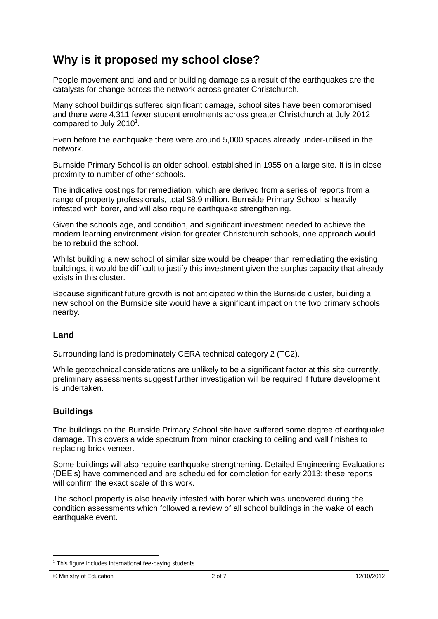## **Why is it proposed my school close?**

People movement and land and or building damage as a result of the earthquakes are the catalysts for change across the network across greater Christchurch.

Many school buildings suffered significant damage, school sites have been compromised and there were 4,311 fewer student enrolments across greater Christchurch at July 2012 compared to July 2010 $^1$ .

Even before the earthquake there were around 5,000 spaces already under-utilised in the network.

Burnside Primary School is an older school, established in 1955 on a large site. It is in close proximity to number of other schools.

The indicative costings for remediation, which are derived from a series of reports from a range of property professionals, total \$8.9 million. Burnside Primary School is heavily infested with borer, and will also require earthquake strengthening.

Given the schools age, and condition, and significant investment needed to achieve the modern learning environment vision for greater Christchurch schools, one approach would be to rebuild the school.

Whilst building a new school of similar size would be cheaper than remediating the existing buildings, it would be difficult to justify this investment given the surplus capacity that already exists in this cluster.

Because significant future growth is not anticipated within the Burnside cluster, building a new school on the Burnside site would have a significant impact on the two primary schools nearby.

#### **Land**

Surrounding land is predominately CERA technical category 2 (TC2).

While geotechnical considerations are unlikely to be a significant factor at this site currently, preliminary assessments suggest further investigation will be required if future development is undertaken.

#### **Buildings**

The buildings on the Burnside Primary School site have suffered some degree of earthquake damage. This covers a wide spectrum from minor cracking to ceiling and wall finishes to replacing brick veneer.

Some buildings will also require earthquake strengthening. Detailed Engineering Evaluations (DEE"s) have commenced and are scheduled for completion for early 2013; these reports will confirm the exact scale of this work.

The school property is also heavily infested with borer which was uncovered during the condition assessments which followed a review of all school buildings in the wake of each earthquake event.

1

 $1$  This figure includes international fee-paying students.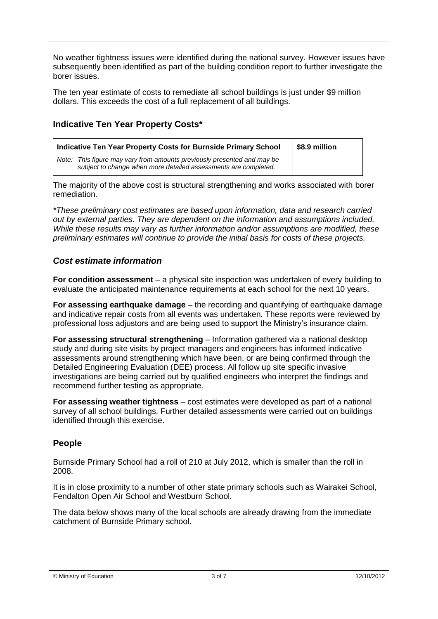No weather tightness issues were identified during the national survey. However issues have subsequently been identified as part of the building condition report to further investigate the borer issues.

The ten year estimate of costs to remediate all school buildings is just under \$9 million dollars. This exceeds the cost of a full replacement of all buildings.

#### **Indicative Ten Year Property Costs\***

| Indicative Ten Year Property Costs for Burnside Primary School                                                                                | $\vert$ \$8.9 million |
|-----------------------------------------------------------------------------------------------------------------------------------------------|-----------------------|
| This figure may vary from amounts previously presented and may be<br>Note:<br>subject to change when more detailed assessments are completed. |                       |

The majority of the above cost is structural strengthening and works associated with borer remediation.

*\*These preliminary cost estimates are based upon information, data and research carried out by external parties. They are dependent on the information and assumptions included. While these results may vary as further information and/or assumptions are modified, these preliminary estimates will continue to provide the initial basis for costs of these projects.*

#### *Cost estimate information*

**For condition assessment** – a physical site inspection was undertaken of every building to evaluate the anticipated maintenance requirements at each school for the next 10 years.

**For assessing earthquake damage** – the recording and quantifying of earthquake damage and indicative repair costs from all events was undertaken. These reports were reviewed by professional loss adjustors and are being used to support the Ministry"s insurance claim.

**For assessing structural strengthening** – Information gathered via a national desktop study and during site visits by project managers and engineers has informed indicative assessments around strengthening which have been, or are being confirmed through the Detailed Engineering Evaluation (DEE) process. All follow up site specific invasive investigations are being carried out by qualified engineers who interpret the findings and recommend further testing as appropriate.

**For assessing weather tightness** – cost estimates were developed as part of a national survey of all school buildings. Further detailed assessments were carried out on buildings identified through this exercise.

#### **People**

Burnside Primary School had a roll of 210 at July 2012, which is smaller than the roll in 2008.

It is in close proximity to a number of other state primary schools such as Wairakei School, Fendalton Open Air School and Westburn School.

The data below shows many of the local schools are already drawing from the immediate catchment of Burnside Primary school.

© Ministry of Education 3 of 7 12/10/2012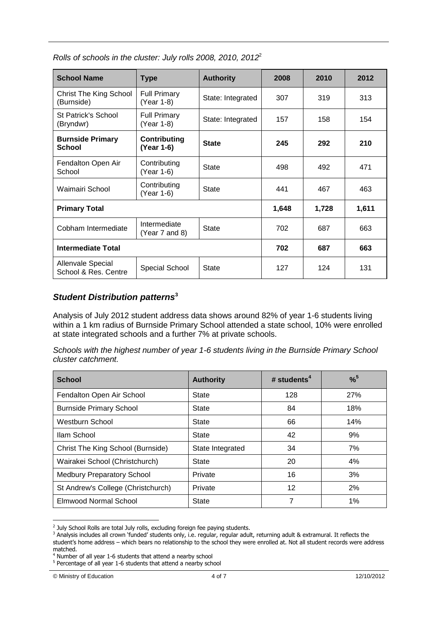| <b>School Name</b>                               | <b>Type</b>                       | <b>Authority</b>  | 2008  | 2010  | 2012 |
|--------------------------------------------------|-----------------------------------|-------------------|-------|-------|------|
| <b>Christ The King School</b><br>(Burnside)      | <b>Full Primary</b><br>(Year 1-8) | State: Integrated | 307   | 319   | 313  |
| St Patrick's School<br>(Bryndwr)                 | <b>Full Primary</b><br>(Year 1-8) | State: Integrated | 157   | 158   | 154  |
| <b>Burnside Primary</b><br>School                | <b>Contributing</b><br>(Year 1-6) | <b>State</b>      | 245   | 292   | 210  |
| Fendalton Open Air<br>School                     | Contributing<br>(Year 1-6)        | State             | 498   | 492   | 471  |
| Waimairi School                                  | Contributing<br>(Year 1-6)        | State             | 441   | 467   | 463  |
| <b>Primary Total</b>                             |                                   | 1,648             | 1,728 | 1,611 |      |
| Cobham Intermediate                              | Intermediate<br>(Year 7 and 8)    | <b>State</b>      | 702   | 687   | 663  |
| <b>Intermediate Total</b>                        |                                   | 702               | 687   | 663   |      |
| <b>Allenvale Special</b><br>School & Res. Centre | Special School                    | <b>State</b>      | 127   | 124   | 131  |

*Rolls of schools in the cluster: July rolls 2008, 2010, 2012*<sup>2</sup>

#### *Student Distribution patterns***<sup>3</sup>**

Analysis of July 2012 student address data shows around 82% of year 1-6 students living within a 1 km radius of Burnside Primary School attended a state school, 10% were enrolled at state integrated schools and a further 7% at private schools.

*Schools with the highest number of year 1-6 students living in the Burnside Primary School cluster catchment.*

| <b>School</b>                      | <b>Authority</b> | # students <sup>4</sup> | $%^{5}$ |
|------------------------------------|------------------|-------------------------|---------|
| Fendalton Open Air School          | State            | 128                     | 27%     |
| <b>Burnside Primary School</b>     | State            | 84                      | 18%     |
| Westburn School                    | <b>State</b>     | 66                      | 14%     |
| Ilam School                        | <b>State</b>     | 42                      | 9%      |
| Christ The King School (Burnside)  | State Integrated | 34                      | 7%      |
| Wairakei School (Christchurch)     | <b>State</b>     | 20                      | 4%      |
| <b>Medbury Preparatory School</b>  | Private          | 16                      | 3%      |
| St Andrew's College (Christchurch) | Private          | 12                      | 2%      |
| Elmwood Normal School              | State            | 7                       | 1%      |

 $2$  July School Rolls are total July rolls, excluding foreign fee paying students.

1

<sup>3</sup> Analysis includes all crown 'funded' students only, i.e. regular, regular adult, returning adult & extramural. It reflects the student's home address – which bears no relationship to the school they were enrolled at. Not all student records were address matched.

 $4$  Number of all year 1-6 students that attend a nearby school

<sup>&</sup>lt;sup>5</sup> Percentage of all year 1-6 students that attend a nearby school

<sup>©</sup> Ministry of Education 4 of 7 12/10/2012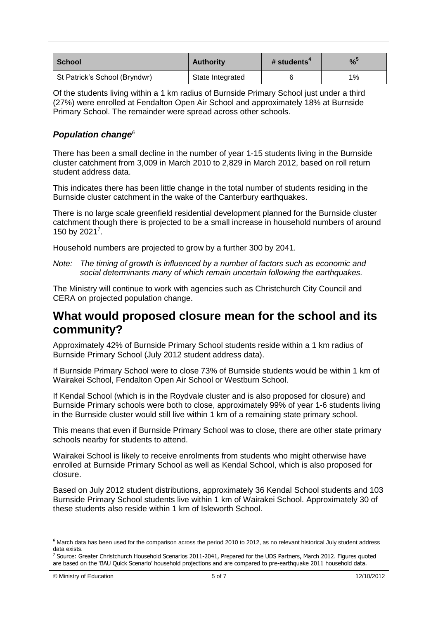| School                        | <b>Authority</b> | # students | %     |
|-------------------------------|------------------|------------|-------|
| St Patrick's School (Bryndwr) | State Integrated |            | $1\%$ |

Of the students living within a 1 km radius of Burnside Primary School just under a third (27%) were enrolled at Fendalton Open Air School and approximately 18% at Burnside Primary School. The remainder were spread across other schools.

#### *Population change<sup>6</sup>*

There has been a small decline in the number of year 1-15 students living in the Burnside cluster catchment from 3,009 in March 2010 to 2,829 in March 2012, based on roll return student address data.

This indicates there has been little change in the total number of students residing in the Burnside cluster catchment in the wake of the Canterbury earthquakes.

There is no large scale greenfield residential development planned for the Burnside cluster catchment though there is projected to be a small increase in household numbers of around 150 by 2021<sup>7</sup>.

Household numbers are projected to grow by a further 300 by 2041.

*Note: The timing of growth is influenced by a number of factors such as economic and social determinants many of which remain uncertain following the earthquakes.*

The Ministry will continue to work with agencies such as Christchurch City Council and CERA on projected population change.

### **What would proposed closure mean for the school and its community?**

Approximately 42% of Burnside Primary School students reside within a 1 km radius of Burnside Primary School (July 2012 student address data).

If Burnside Primary School were to close 73% of Burnside students would be within 1 km of Wairakei School, Fendalton Open Air School or Westburn School.

If Kendal School (which is in the Roydvale cluster and is also proposed for closure) and Burnside Primary schools were both to close, approximately 99% of year 1-6 students living in the Burnside cluster would still live within 1 km of a remaining state primary school.

This means that even if Burnside Primary School was to close, there are other state primary schools nearby for students to attend.

Wairakei School is likely to receive enrolments from students who might otherwise have enrolled at Burnside Primary School as well as Kendal School, which is also proposed for closure.

Based on July 2012 student distributions, approximately 36 Kendal School students and 103 Burnside Primary School students live within 1 km of Wairakei School. Approximately 30 of these students also reside within 1 km of Isleworth School.

1

*<sup>6</sup>* March data has been used for the comparison across the period 2010 to 2012, as no relevant historical July student address data exists.

<sup>&</sup>lt;sup>7</sup> Source: Greater Christchurch Household Scenarios 2011-2041, Prepared for the UDS Partners, March 2012. Figures quoted are based on the 'BAU Quick Scenario' household projections and are compared to pre-earthquake 2011 household data.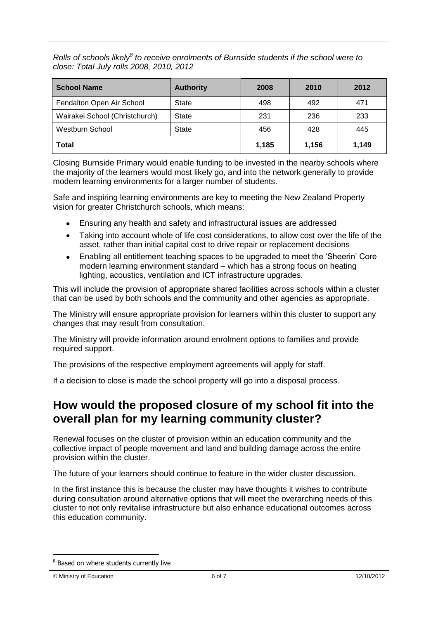*Rolls of schools likely<sup>8</sup> to receive enrolments of Burnside students if the school were to close: Total July rolls 2008, 2010, 2012*

| <b>School Name</b>             | <b>Authority</b> | 2008  | 2010  | 2012  |
|--------------------------------|------------------|-------|-------|-------|
| Fendalton Open Air School      | <b>State</b>     | 498   | 492   | 471   |
| Wairakei School (Christchurch) | State            | 231   | 236   | 233   |
| <b>Westburn School</b>         | <b>State</b>     | 456   | 428   | 445   |
| Total                          |                  | 1.185 | 1,156 | 1,149 |

Closing Burnside Primary would enable funding to be invested in the nearby schools where the majority of the learners would most likely go, and into the network generally to provide modern learning environments for a larger number of students.

Safe and inspiring learning environments are key to meeting the New Zealand Property vision for greater Christchurch schools, which means:

- Ensuring any health and safety and infrastructural issues are addressed
- Taking into account whole of life cost considerations, to allow cost over the life of the asset, rather than initial capital cost to drive repair or replacement decisions
- Enabling all entitlement teaching spaces to be upgraded to meet the "Sheerin" Core  $\bullet$ modern learning environment standard – which has a strong focus on heating lighting, acoustics, ventilation and ICT infrastructure upgrades.

This will include the provision of appropriate shared facilities across schools within a cluster that can be used by both schools and the community and other agencies as appropriate.

The Ministry will ensure appropriate provision for learners within this cluster to support any changes that may result from consultation.

The Ministry will provide information around enrolment options to families and provide required support.

The provisions of the respective employment agreements will apply for staff.

If a decision to close is made the school property will go into a disposal process.

### **How would the proposed closure of my school fit into the overall plan for my learning community cluster?**

Renewal focuses on the cluster of provision within an education community and the collective impact of people movement and land and building damage across the entire provision within the cluster.

The future of your learners should continue to feature in the wider cluster discussion.

In the first instance this is because the cluster may have thoughts it wishes to contribute during consultation around alternative options that will meet the overarching needs of this cluster to not only revitalise infrastructure but also enhance educational outcomes across this education community.

<u>.</u>

<sup>8</sup> Based on where students currently live